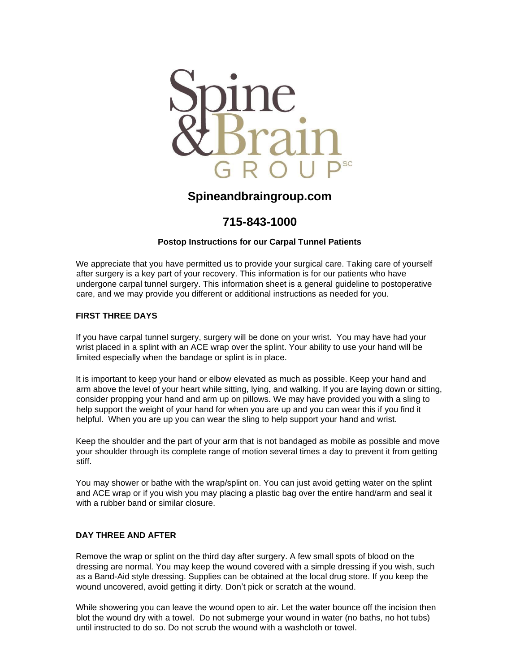

# **Spineandbraingroup.com**

# **715-843-1000**

### **Postop Instructions for our Carpal Tunnel Patients**

We appreciate that you have permitted us to provide your surgical care. Taking care of yourself after surgery is a key part of your recovery. This information is for our patients who have undergone carpal tunnel surgery. This information sheet is a general guideline to postoperative care, and we may provide you different or additional instructions as needed for you.

#### **FIRST THREE DAYS**

If you have carpal tunnel surgery, surgery will be done on your wrist. You may have had your wrist placed in a splint with an ACE wrap over the splint. Your ability to use your hand will be limited especially when the bandage or splint is in place.

It is important to keep your hand or elbow elevated as much as possible. Keep your hand and arm above the level of your heart while sitting, lying, and walking. If you are laying down or sitting, consider propping your hand and arm up on pillows. We may have provided you with a sling to help support the weight of your hand for when you are up and you can wear this if you find it helpful. When you are up you can wear the sling to help support your hand and wrist.

Keep the shoulder and the part of your arm that is not bandaged as mobile as possible and move your shoulder through its complete range of motion several times a day to prevent it from getting stiff.

You may shower or bathe with the wrap/splint on. You can just avoid getting water on the splint and ACE wrap or if you wish you may placing a plastic bag over the entire hand/arm and seal it with a rubber band or similar closure.

#### **DAY THREE AND AFTER**

Remove the wrap or splint on the third day after surgery. A few small spots of blood on the dressing are normal. You may keep the wound covered with a simple dressing if you wish, such as a Band-Aid style dressing. Supplies can be obtained at the local drug store. If you keep the wound uncovered, avoid getting it dirty. Don't pick or scratch at the wound.

While showering you can leave the wound open to air. Let the water bounce off the incision then blot the wound dry with a towel. Do not submerge your wound in water (no baths, no hot tubs) until instructed to do so. Do not scrub the wound with a washcloth or towel.